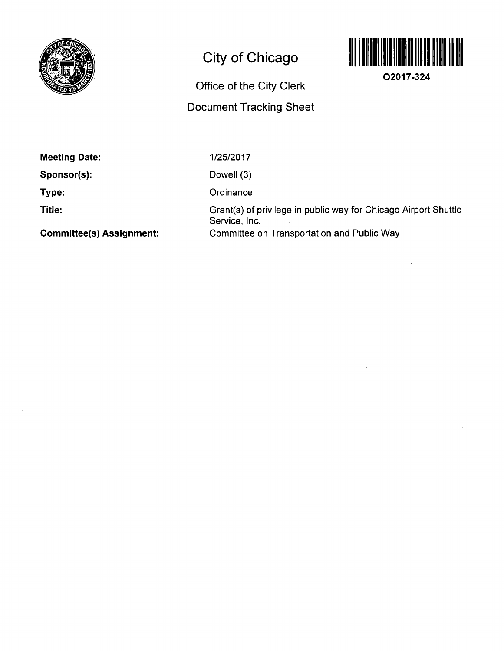

# **City of Chicago**

## **Office of the City Clerk**

## **Document Tracking Sheet**



**O2017-324** 

**Meeting Date:** 

**Sponsor(s):** 

**Type:** 

**Title:** 

1/25/2017 Dowell (3) **Ordinance** Grant(s) of privilege in public way for Chicago Airport Shuttle Service, Inc. Committee on Transportation and Public Way

**Committee(s) Assignment:**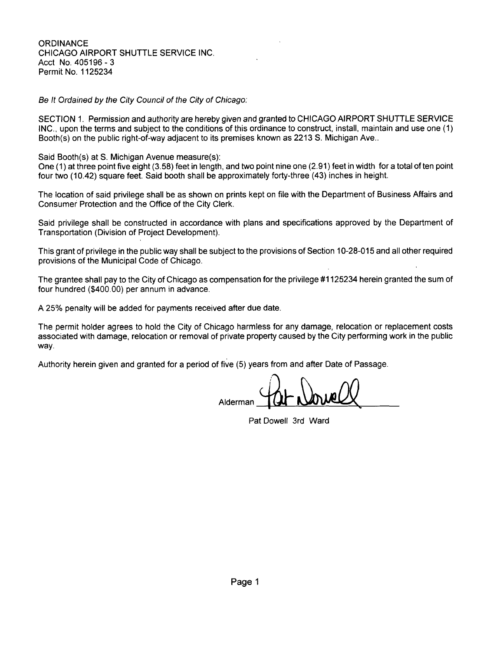**ORDINANCE** CHICAGO AIRPORT SHUTTLE SERVICE INC. Acct No. 405196-3 Permit No. 1125234

Be It Ordained by the City Council of the City of Chicago:

SECTION 1. Permission and authority are hereby given and granted to CHICAGO AIRPORT SHUTTLE SERVICE INC., upon the terms and subject to the conditions of this ordinance to construct, install, maintain and use one (1) Booth(s) on the public right-of-way adjacent to its premises known as 2213 S. Michigan Ave..

Said Booth(s) at S. Michigan Avenue measure(s):

One (1) at three point five eight (3.58) feet in length, and two point nine one (2.91) feet in width for a total often point four two (10.42) square feet. Said booth shall be approximately forty-three (43) inches in height.

The location of said privilege shall be as shown on prints kept on file with the Department of Business Affairs and Consumer Protection and the Office of the City Clerk.

Said privilege shall be constructed in accordance with plans and specifications approved by the Department of Transportation (Division of Project Development).

This grant of privilege in the public way shall be subject to the provisions of Section 10-28-015 and all other required provisions of the Municipal Code of Chicago.

The grantee shall pay to the City of Chicago as compensation for the privilege #1125234 herein granted the sum of four hundred (\$400.00) per annum in advance.

A 25% penalty will be added for payments received after due date.

The permit holder agrees to hold the City of Chicago harmless for any damage, relocation or replacement costs associated with damage, relocation or removal of private property caused by the City performing work in the public way.

Authority herein given and granted for a period of five (5) years from and after Date of Passage.

Alderman

Pat Dowell 3rd Ward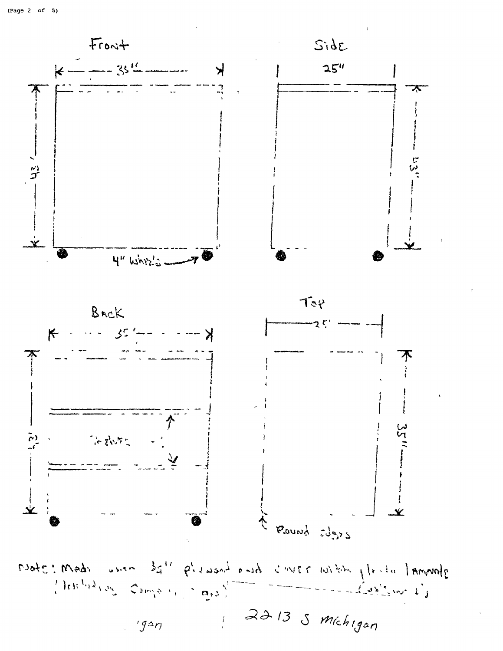